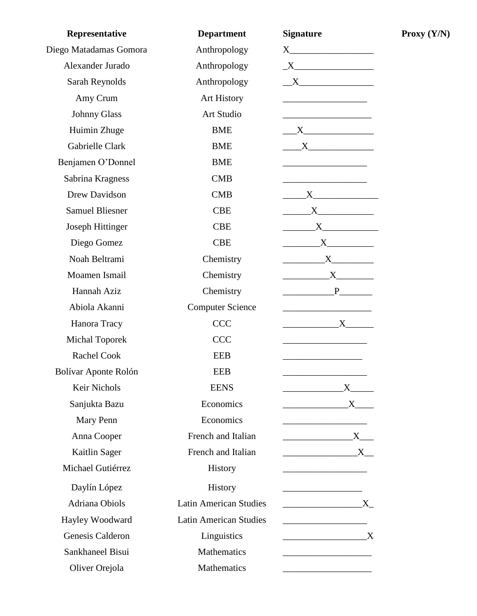| Representative          | <b>Department</b>             | <b>Signature</b>                                                                                                                                                                                                              |
|-------------------------|-------------------------------|-------------------------------------------------------------------------------------------------------------------------------------------------------------------------------------------------------------------------------|
| Diego Matadamas Gomora  | Anthropology                  |                                                                                                                                                                                                                               |
| Alexander Jurado        | Anthropology                  | $\begin{tabular}{c} $X$ \end{tabular}$                                                                                                                                                                                        |
| Sarah Reynolds          | Anthropology                  | $\overline{\phantom{a}}$ X                                                                                                                                                                                                    |
| Amy Crum                | <b>Art History</b>            |                                                                                                                                                                                                                               |
| <b>Johnny Glass</b>     | Art Studio                    |                                                                                                                                                                                                                               |
| Huimin Zhuge            | <b>BME</b>                    |                                                                                                                                                                                                                               |
| Gabrielle Clark         | <b>BME</b>                    | $X$ and $X$ and $X$ and $X$ and $X$ and $X$ and $X$ and $X$ and $X$ and $X$ and $X$ and $X$ and $X$ and $X$ and $X$ and $X$ and $X$ and $X$ and $X$ and $X$ and $X$ and $X$ and $X$ and $X$ and $X$ and $X$ and $X$ and $X$ a |
| Benjamen O'Donnel       | <b>BME</b>                    |                                                                                                                                                                                                                               |
| Sabrina Kragness        | <b>CMB</b>                    |                                                                                                                                                                                                                               |
| Drew Davidson           | <b>CMB</b>                    | $\begin{array}{c} \begin{array}{c} \text{--- } \text{X} \end{array} \end{array}$                                                                                                                                              |
| <b>Samuel Bliesner</b>  | <b>CBE</b>                    | $\begin{array}{c}\nX\n\end{array}$                                                                                                                                                                                            |
| <b>Joseph Hittinger</b> | <b>CBE</b>                    | $\begin{array}{c}\nX\n\end{array}$                                                                                                                                                                                            |
| Diego Gomez             | <b>CBE</b>                    | $\begin{array}{c}\nX\n\end{array}$                                                                                                                                                                                            |
| Noah Beltrami           | Chemistry                     | $\begin{array}{c} \begin{array}{c} \text{---} \\ \text{---} \end{array} \\ \begin{array}{c} \text{X} \\ \text{---} \end{array} \end{array}$                                                                                   |
| Moamen Ismail           | Chemistry                     | $\mathbf{X}$                                                                                                                                                                                                                  |
| Hannah Aziz             | Chemistry                     | $P$ and $P$ and $P$ and $P$ and $P$ and $P$ and $P$ and $P$ and $P$ and $P$ and $P$ and $P$ and $P$ and $P$ and $P$ and $P$ and $P$ and $P$ and $P$ and $P$ and $P$ and $P$ and $P$ and $P$ and $P$ and $P$ and $P$ and $P$ a |
| Abiola Akanni           | <b>Computer Science</b>       |                                                                                                                                                                                                                               |
| Hanora Tracy            | <b>CCC</b>                    | X                                                                                                                                                                                                                             |
| <b>Michal Toporek</b>   | CCC                           |                                                                                                                                                                                                                               |
| Rachel Cook             | <b>EEB</b>                    |                                                                                                                                                                                                                               |
| Bolívar Aponte Rolón    | <b>EEB</b>                    |                                                                                                                                                                                                                               |
| Keir Nichols            | <b>EENS</b>                   |                                                                                                                                                                                                                               |
| Sanjukta Bazu           | Economics                     | X                                                                                                                                                                                                                             |
| Mary Penn               | Economics                     |                                                                                                                                                                                                                               |
| Anna Cooper             | French and Italian            | $\mathbf{X}$                                                                                                                                                                                                                  |
| Kaitlin Sager           | French and Italian            | X                                                                                                                                                                                                                             |
| Michael Gutiérrez       | History                       |                                                                                                                                                                                                                               |
| Daylín López            | History                       |                                                                                                                                                                                                                               |
| Adriana Obiols          | <b>Latin American Studies</b> | $\mathbf{X}$                                                                                                                                                                                                                  |
| Hayley Woodward         | <b>Latin American Studies</b> | <u> 1990 - Johann John Stone, mars et al. (</u>                                                                                                                                                                               |
| Genesis Calderon        | Linguistics                   | $\overline{\mathbf{X}}$                                                                                                                                                                                                       |
| Sankhaneel Bisui        | Mathematics                   |                                                                                                                                                                                                                               |
| Oliver Orejola          | Mathematics                   |                                                                                                                                                                                                                               |

**Proxy (Y/N)**